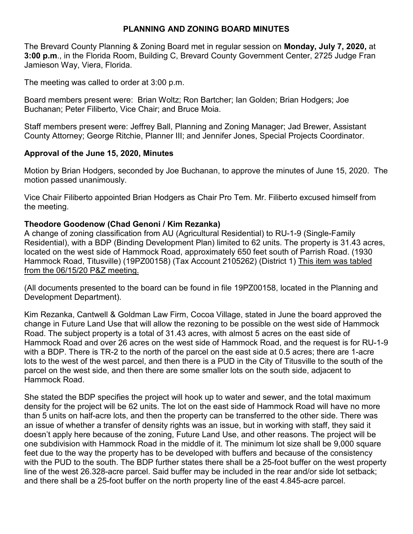### **PLANNING AND ZONING BOARD MINUTES**

The Brevard County Planning & Zoning Board met in regular session on **Monday, July 7, 2020,** at **3:00 p.m**., in the Florida Room, Building C, Brevard County Government Center, 2725 Judge Fran Jamieson Way, Viera, Florida.

The meeting was called to order at 3:00 p.m.

Board members present were: Brian Woltz; Ron Bartcher; Ian Golden; Brian Hodgers; Joe Buchanan; Peter Filiberto, Vice Chair; and Bruce Moia.

Staff members present were: Jeffrey Ball, Planning and Zoning Manager; Jad Brewer, Assistant County Attorney; George Ritchie, Planner III; and Jennifer Jones, Special Projects Coordinator.

#### **Approval of the June 15, 2020, Minutes**

Motion by Brian Hodgers, seconded by Joe Buchanan, to approve the minutes of June 15, 2020. The motion passed unanimously.

Vice Chair Filiberto appointed Brian Hodgers as Chair Pro Tem. Mr. Filiberto excused himself from the meeting.

#### **Theodore Goodenow (Chad Genoni / Kim Rezanka)**

A change of zoning classification from AU (Agricultural Residential) to RU-1-9 (Single-Family Residential), with a BDP (Binding Development Plan) limited to 62 units. The property is 31.43 acres, located on the west side of Hammock Road, approximately 650 feet south of Parrish Road. (1930 Hammock Road, Titusville) (19PZ00158) (Tax Account 2105262) (District 1) This item was tabled from the 06/15/20 P&Z meeting.

(All documents presented to the board can be found in file 19PZ00158, located in the Planning and Development Department).

Kim Rezanka, Cantwell & Goldman Law Firm, Cocoa Village, stated in June the board approved the change in Future Land Use that will allow the rezoning to be possible on the west side of Hammock Road. The subject property is a total of 31.43 acres, with almost 5 acres on the east side of Hammock Road and over 26 acres on the west side of Hammock Road, and the request is for RU-1-9 with a BDP. There is TR-2 to the north of the parcel on the east side at 0.5 acres; there are 1-acre lots to the west of the west parcel, and then there is a PUD in the City of Titusville to the south of the parcel on the west side, and then there are some smaller lots on the south side, adjacent to Hammock Road.

She stated the BDP specifies the project will hook up to water and sewer, and the total maximum density for the project will be 62 units. The lot on the east side of Hammock Road will have no more than 5 units on half-acre lots, and then the property can be transferred to the other side. There was an issue of whether a transfer of density rights was an issue, but in working with staff, they said it doesn't apply here because of the zoning, Future Land Use, and other reasons. The project will be one subdivision with Hammock Road in the middle of it. The minimum lot size shall be 9,000 square feet due to the way the property has to be developed with buffers and because of the consistency with the PUD to the south. The BDP further states there shall be a 25-foot buffer on the west property line of the west 26.328-acre parcel. Said buffer may be included in the rear and/or side lot setback; and there shall be a 25-foot buffer on the north property line of the east 4.845-acre parcel.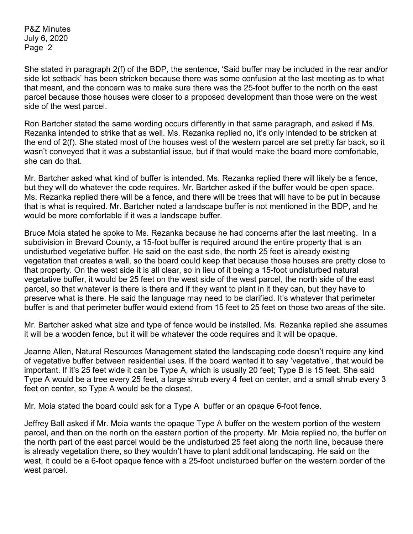She stated in paragraph 2(f) of the BDP, the sentence, 'Said buffer may be included in the rear and/or side lot setback' has been stricken because there was some confusion at the last meeting as to what that meant, and the concern was to make sure there was the 25-foot buffer to the north on the east parcel because those houses were closer to a proposed development than those were on the west side of the west parcel.

Ron Bartcher stated the same wording occurs differently in that same paragraph, and asked if Ms. Rezanka intended to strike that as well. Ms. Rezanka replied no, it's only intended to be stricken at the end of 2(f). She stated most of the houses west of the western parcel are set pretty far back, so it wasn't conveyed that it was a substantial issue, but if that would make the board more comfortable, she can do that.

Mr. Bartcher asked what kind of buffer is intended. Ms. Rezanka replied there will likely be a fence, but they will do whatever the code requires. Mr. Bartcher asked if the buffer would be open space. Ms. Rezanka replied there will be a fence, and there will be trees that will have to be put in because that is what is required. Mr. Bartcher noted a landscape buffer is not mentioned in the BDP, and he would be more comfortable if it was a landscape buffer.

Bruce Moia stated he spoke to Ms. Rezanka because he had concerns after the last meeting. In a subdivision in Brevard County, a 15-foot buffer is required around the entire property that is an undisturbed vegetative buffer. He said on the east side, the north 25 feet is already existing vegetation that creates a wall, so the board could keep that because those houses are pretty close to that property. On the west side it is all clear, so in lieu of it being a 15-foot undisturbed natural vegetative buffer, it would be 25 feet on the west side of the west parcel, the north side of the east parcel, so that whatever is there is there and if they want to plant in it they can, but they have to preserve what is there. He said the language may need to be clarified. It's whatever that perimeter buffer is and that perimeter buffer would extend from 15 feet to 25 feet on those two areas of the site.

Mr. Bartcher asked what size and type of fence would be installed. Ms. Rezanka replied she assumes it will be a wooden fence, but it will be whatever the code requires and it will be opaque.

Jeanne Allen, Natural Resources Management stated the landscaping code doesn't require any kind of vegetative buffer between residential uses. If the board wanted it to say 'vegetative', that would be important. If it's 25 feet wide it can be Type A, which is usually 20 feet; Type B is 15 feet. She said Type A would be a tree every 25 feet, a large shrub every 4 feet on center, and a small shrub every 3 feet on center, so Type A would be the closest.

Mr. Moia stated the board could ask for a Type A buffer or an opaque 6-foot fence.

Jeffrey Ball asked if Mr. Moia wants the opaque Type A buffer on the western portion of the western parcel, and then on the north on the eastern portion of the property. Mr. Moia replied no, the buffer on the north part of the east parcel would be the undisturbed 25 feet along the north line, because there is already vegetation there, so they wouldn't have to plant additional landscaping. He said on the west, it could be a 6-foot opaque fence with a 25-foot undisturbed buffer on the western border of the west parcel.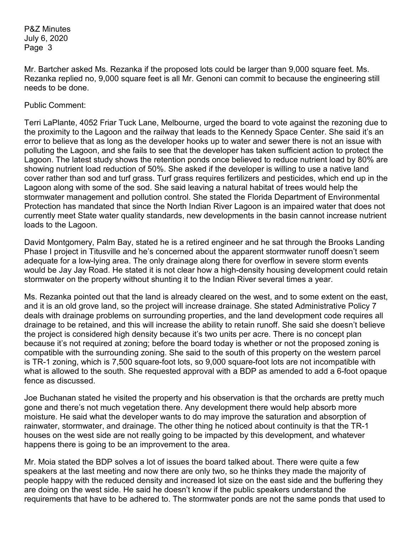Mr. Bartcher asked Ms. Rezanka if the proposed lots could be larger than 9,000 square feet. Ms. Rezanka replied no, 9,000 square feet is all Mr. Genoni can commit to because the engineering still needs to be done.

#### Public Comment:

Terri LaPlante, 4052 Friar Tuck Lane, Melbourne, urged the board to vote against the rezoning due to the proximity to the Lagoon and the railway that leads to the Kennedy Space Center. She said it's an error to believe that as long as the developer hooks up to water and sewer there is not an issue with polluting the Lagoon, and she fails to see that the developer has taken sufficient action to protect the Lagoon. The latest study shows the retention ponds once believed to reduce nutrient load by 80% are showing nutrient load reduction of 50%. She asked if the developer is willing to use a native land cover rather than sod and turf grass. Turf grass requires fertilizers and pesticides, which end up in the Lagoon along with some of the sod. She said leaving a natural habitat of trees would help the stormwater management and pollution control. She stated the Florida Department of Environmental Protection has mandated that since the North Indian River Lagoon is an impaired water that does not currently meet State water quality standards, new developments in the basin cannot increase nutrient loads to the Lagoon.

David Montgomery, Palm Bay, stated he is a retired engineer and he sat through the Brooks Landing Phase I project in Titusville and he's concerned about the apparent stormwater runoff doesn't seem adequate for a low-lying area. The only drainage along there for overflow in severe storm events would be Jay Jay Road. He stated it is not clear how a high-density housing development could retain stormwater on the property without shunting it to the Indian River several times a year.

Ms. Rezanka pointed out that the land is already cleared on the west, and to some extent on the east, and it is an old grove land, so the project will increase drainage. She stated Administrative Policy 7 deals with drainage problems on surrounding properties, and the land development code requires all drainage to be retained, and this will increase the ability to retain runoff. She said she doesn't believe the project is considered high density because it's two units per acre. There is no concept plan because it's not required at zoning; before the board today is whether or not the proposed zoning is compatible with the surrounding zoning. She said to the south of this property on the western parcel is TR-1 zoning, which is 7,500 square-foot lots, so 9,000 square-foot lots are not incompatible with what is allowed to the south. She requested approval with a BDP as amended to add a 6-foot opaque fence as discussed.

Joe Buchanan stated he visited the property and his observation is that the orchards are pretty much gone and there's not much vegetation there. Any development there would help absorb more moisture. He said what the developer wants to do may improve the saturation and absorption of rainwater, stormwater, and drainage. The other thing he noticed about continuity is that the TR-1 houses on the west side are not really going to be impacted by this development, and whatever happens there is going to be an improvement to the area.

Mr. Moia stated the BDP solves a lot of issues the board talked about. There were quite a few speakers at the last meeting and now there are only two, so he thinks they made the majority of people happy with the reduced density and increased lot size on the east side and the buffering they are doing on the west side. He said he doesn't know if the public speakers understand the requirements that have to be adhered to. The stormwater ponds are not the same ponds that used to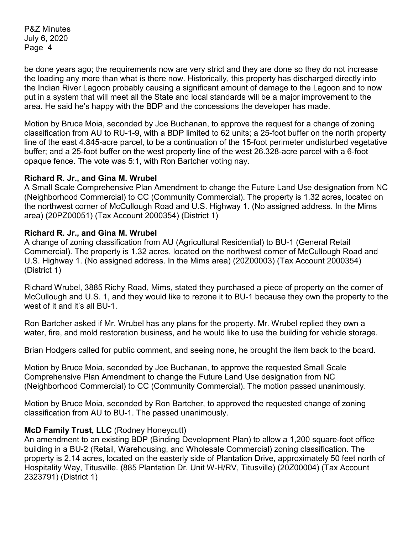be done years ago; the requirements now are very strict and they are done so they do not increase the loading any more than what is there now. Historically, this property has discharged directly into the Indian River Lagoon probably causing a significant amount of damage to the Lagoon and to now put in a system that will meet all the State and local standards will be a major improvement to the area. He said he's happy with the BDP and the concessions the developer has made.

Motion by Bruce Moia, seconded by Joe Buchanan, to approve the request for a change of zoning classification from AU to RU-1-9, with a BDP limited to 62 units; a 25-foot buffer on the north property line of the east 4.845-acre parcel, to be a continuation of the 15-foot perimeter undisturbed vegetative buffer; and a 25-foot buffer on the west property line of the west 26.328-acre parcel with a 6-foot opaque fence. The vote was 5:1, with Ron Bartcher voting nay.

#### **Richard R. Jr., and Gina M. Wrubel**

A Small Scale Comprehensive Plan Amendment to change the Future Land Use designation from NC (Neighborhood Commercial) to CC (Community Commercial). The property is 1.32 acres, located on the northwest corner of McCullough Road and U.S. Highway 1. (No assigned address. In the Mims area) (20PZ00051) (Tax Account 2000354) (District 1)

#### **Richard R. Jr., and Gina M. Wrubel**

A change of zoning classification from AU (Agricultural Residential) to BU-1 (General Retail Commercial). The property is 1.32 acres, located on the northwest corner of McCullough Road and U.S. Highway 1. (No assigned address. In the Mims area) (20Z00003) (Tax Account 2000354) (District 1)

Richard Wrubel, 3885 Richy Road, Mims, stated they purchased a piece of property on the corner of McCullough and U.S. 1, and they would like to rezone it to BU-1 because they own the property to the west of it and it's all BU-1.

Ron Bartcher asked if Mr. Wrubel has any plans for the property. Mr. Wrubel replied they own a water, fire, and mold restoration business, and he would like to use the building for vehicle storage.

Brian Hodgers called for public comment, and seeing none, he brought the item back to the board.

Motion by Bruce Moia, seconded by Joe Buchanan, to approve the requested Small Scale Comprehensive Plan Amendment to change the Future Land Use designation from NC (Neighborhood Commercial) to CC (Community Commercial). The motion passed unanimously.

Motion by Bruce Moia, seconded by Ron Bartcher, to approved the requested change of zoning classification from AU to BU-1. The passed unanimously.

#### **McD Family Trust, LLC** (Rodney Honeycutt)

An amendment to an existing BDP (Binding Development Plan) to allow a 1,200 square-foot office building in a BU-2 (Retail, Warehousing, and Wholesale Commercial) zoning classification. The property is 2.14 acres, located on the easterly side of Plantation Drive, approximately 50 feet north of Hospitality Way, Titusville. (885 Plantation Dr. Unit W-H/RV, Titusville) (20Z00004) (Tax Account 2323791) (District 1)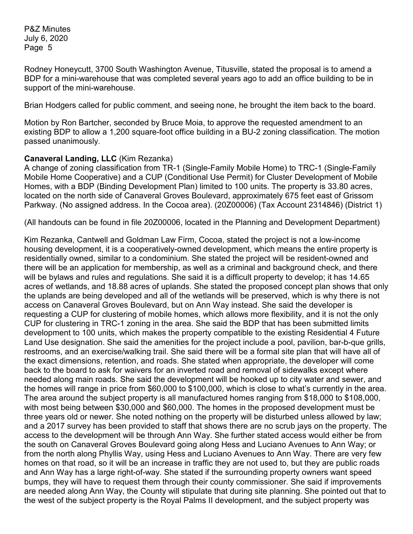Rodney Honeycutt, 3700 South Washington Avenue, Titusville, stated the proposal is to amend a BDP for a mini-warehouse that was completed several years ago to add an office building to be in support of the mini-warehouse.

Brian Hodgers called for public comment, and seeing none, he brought the item back to the board.

Motion by Ron Bartcher, seconded by Bruce Moia, to approve the requested amendment to an existing BDP to allow a 1,200 square-foot office building in a BU-2 zoning classification. The motion passed unanimously.

# **Canaveral Landing, LLC** (Kim Rezanka)

A change of zoning classification from TR-1 (Single-Family Mobile Home) to TRC-1 (Single-Family Mobile Home Cooperative) and a CUP (Conditional Use Permit) for Cluster Development of Mobile Homes, with a BDP (Binding Development Plan) limited to 100 units. The property is 33.80 acres, located on the north side of Canaveral Groves Boulevard, approximately 675 feet east of Grissom Parkway. (No assigned address. In the Cocoa area). (20Z00006) (Tax Account 2314846) (District 1)

(All handouts can be found in file 20Z00006, located in the Planning and Development Department)

Kim Rezanka, Cantwell and Goldman Law Firm, Cocoa, stated the project is not a low-income housing development, it is a cooperatively-owned development, which means the entire property is residentially owned, similar to a condominium. She stated the project will be resident-owned and there will be an application for membership, as well as a criminal and background check, and there will be bylaws and rules and regulations. She said it is a difficult property to develop; it has 14.65 acres of wetlands, and 18.88 acres of uplands. She stated the proposed concept plan shows that only the uplands are being developed and all of the wetlands will be preserved, which is why there is not access on Canaveral Groves Boulevard, but on Ann Way instead. She said the developer is requesting a CUP for clustering of mobile homes, which allows more flexibility, and it is not the only CUP for clustering in TRC-1 zoning in the area. She said the BDP that has been submitted limits development to 100 units, which makes the property compatible to the existing Residential 4 Future Land Use designation. She said the amenities for the project include a pool, pavilion, bar-b-que grills, restrooms, and an exercise/walking trail. She said there will be a formal site plan that will have all of the exact dimensions, retention, and roads. She stated when appropriate, the developer will come back to the board to ask for waivers for an inverted road and removal of sidewalks except where needed along main roads. She said the development will be hooked up to city water and sewer, and the homes will range in price from \$60,000 to \$100,000, which is close to what's currently in the area. The area around the subject property is all manufactured homes ranging from \$18,000 to \$108,000, with most being between \$30,000 and \$60,000. The homes in the proposed development must be three years old or newer. She noted nothing on the property will be disturbed unless allowed by law; and a 2017 survey has been provided to staff that shows there are no scrub jays on the property. The access to the development will be through Ann Way. She further stated access would either be from the south on Canaveral Groves Boulevard going along Hess and Luciano Avenues to Ann Way; or from the north along Phyllis Way, using Hess and Luciano Avenues to Ann Way. There are very few homes on that road, so it will be an increase in traffic they are not used to, but they are public roads and Ann Way has a large right-of-way. She stated if the surrounding property owners want speed bumps, they will have to request them through their county commissioner. She said if improvements are needed along Ann Way, the County will stipulate that during site planning. She pointed out that to the west of the subject property is the Royal Palms II development, and the subject property was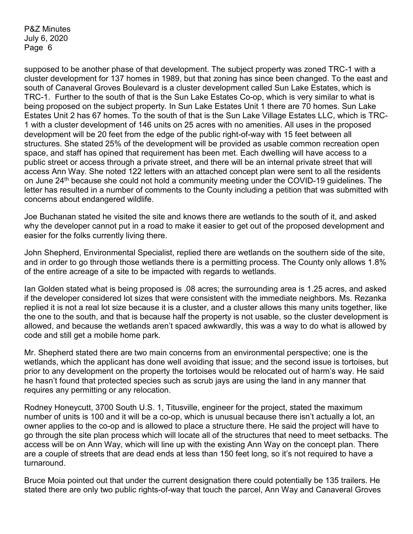supposed to be another phase of that development. The subject property was zoned TRC-1 with a cluster development for 137 homes in 1989, but that zoning has since been changed. To the east and south of Canaveral Groves Boulevard is a cluster development called Sun Lake Estates, which is TRC-1. Further to the south of that is the Sun Lake Estates Co-op, which is very similar to what is being proposed on the subject property. In Sun Lake Estates Unit 1 there are 70 homes. Sun Lake Estates Unit 2 has 67 homes. To the south of that is the Sun Lake Village Estates LLC, which is TRC-1 with a cluster development of 146 units on 25 acres with no amenities. All uses in the proposed development will be 20 feet from the edge of the public right-of-way with 15 feet between all structures. She stated 25% of the development will be provided as usable common recreation open space, and staff has opined that requirement has been met. Each dwelling will have access to a public street or access through a private street, and there will be an internal private street that will access Ann Way. She noted 122 letters with an attached concept plan were sent to all the residents on June 24<sup>th</sup> because she could not hold a community meeting under the COVID-19 guidelines. The letter has resulted in a number of comments to the County including a petition that was submitted with concerns about endangered wildlife.

Joe Buchanan stated he visited the site and knows there are wetlands to the south of it, and asked why the developer cannot put in a road to make it easier to get out of the proposed development and easier for the folks currently living there.

John Shepherd, Environmental Specialist, replied there are wetlands on the southern side of the site, and in order to go through those wetlands there is a permitting process. The County only allows 1.8% of the entire acreage of a site to be impacted with regards to wetlands.

Ian Golden stated what is being proposed is .08 acres; the surrounding area is 1.25 acres, and asked if the developer considered lot sizes that were consistent with the immediate neighbors. Ms. Rezanka replied it is not a real lot size because it is a cluster, and a cluster allows this many units together, like the one to the south, and that is because half the property is not usable, so the cluster development is allowed, and because the wetlands aren't spaced awkwardly, this was a way to do what is allowed by code and still get a mobile home park.

Mr. Shepherd stated there are two main concerns from an environmental perspective; one is the wetlands, which the applicant has done well avoiding that issue; and the second issue is tortoises, but prior to any development on the property the tortoises would be relocated out of harm's way. He said he hasn't found that protected species such as scrub jays are using the land in any manner that requires any permitting or any relocation.

Rodney Honeycutt, 3700 South U.S. 1, Titusville, engineer for the project, stated the maximum number of units is 100 and it will be a co-op, which is unusual because there isn't actually a lot, an owner applies to the co-op and is allowed to place a structure there. He said the project will have to go through the site plan process which will locate all of the structures that need to meet setbacks. The access will be on Ann Way, which will line up with the existing Ann Way on the concept plan. There are a couple of streets that are dead ends at less than 150 feet long, so it's not required to have a turnaround.

Bruce Moia pointed out that under the current designation there could potentially be 135 trailers. He stated there are only two public rights-of-way that touch the parcel, Ann Way and Canaveral Groves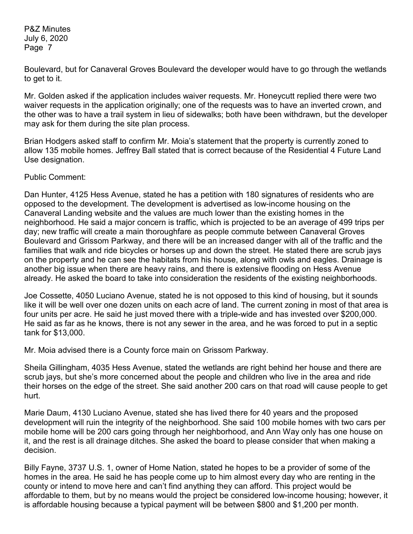Boulevard, but for Canaveral Groves Boulevard the developer would have to go through the wetlands to get to it.

Mr. Golden asked if the application includes waiver requests. Mr. Honeycutt replied there were two waiver requests in the application originally; one of the requests was to have an inverted crown, and the other was to have a trail system in lieu of sidewalks; both have been withdrawn, but the developer may ask for them during the site plan process.

Brian Hodgers asked staff to confirm Mr. Moia's statement that the property is currently zoned to allow 135 mobile homes. Jeffrey Ball stated that is correct because of the Residential 4 Future Land Use designation.

Public Comment:

Dan Hunter, 4125 Hess Avenue, stated he has a petition with 180 signatures of residents who are opposed to the development. The development is advertised as low-income housing on the Canaveral Landing website and the values are much lower than the existing homes in the neighborhood. He said a major concern is traffic, which is projected to be an average of 499 trips per day; new traffic will create a main thoroughfare as people commute between Canaveral Groves Boulevard and Grissom Parkway, and there will be an increased danger with all of the traffic and the families that walk and ride bicycles or horses up and down the street. He stated there are scrub jays on the property and he can see the habitats from his house, along with owls and eagles. Drainage is another big issue when there are heavy rains, and there is extensive flooding on Hess Avenue already. He asked the board to take into consideration the residents of the existing neighborhoods.

Joe Cossette, 4050 Luciano Avenue, stated he is not opposed to this kind of housing, but it sounds like it will be well over one dozen units on each acre of land. The current zoning in most of that area is four units per acre. He said he just moved there with a triple-wide and has invested over \$200,000. He said as far as he knows, there is not any sewer in the area, and he was forced to put in a septic tank for \$13,000.

Mr. Moia advised there is a County force main on Grissom Parkway.

Sheila Gillingham, 4035 Hess Avenue, stated the wetlands are right behind her house and there are scrub jays, but she's more concerned about the people and children who live in the area and ride their horses on the edge of the street. She said another 200 cars on that road will cause people to get hurt.

Marie Daum, 4130 Luciano Avenue, stated she has lived there for 40 years and the proposed development will ruin the integrity of the neighborhood. She said 100 mobile homes with two cars per mobile home will be 200 cars going through her neighborhood, and Ann Way only has one house on it, and the rest is all drainage ditches. She asked the board to please consider that when making a decision.

Billy Fayne, 3737 U.S. 1, owner of Home Nation, stated he hopes to be a provider of some of the homes in the area. He said he has people come up to him almost every day who are renting in the county or intend to move here and can't find anything they can afford. This project would be affordable to them, but by no means would the project be considered low-income housing; however, it is affordable housing because a typical payment will be between \$800 and \$1,200 per month.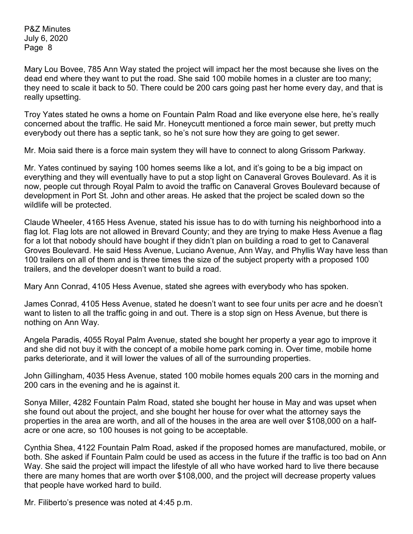Mary Lou Bovee, 785 Ann Way stated the project will impact her the most because she lives on the dead end where they want to put the road. She said 100 mobile homes in a cluster are too many; they need to scale it back to 50. There could be 200 cars going past her home every day, and that is really upsetting.

Troy Yates stated he owns a home on Fountain Palm Road and like everyone else here, he's really concerned about the traffic. He said Mr. Honeycutt mentioned a force main sewer, but pretty much everybody out there has a septic tank, so he's not sure how they are going to get sewer.

Mr. Moia said there is a force main system they will have to connect to along Grissom Parkway.

Mr. Yates continued by saying 100 homes seems like a lot, and it's going to be a big impact on everything and they will eventually have to put a stop light on Canaveral Groves Boulevard. As it is now, people cut through Royal Palm to avoid the traffic on Canaveral Groves Boulevard because of development in Port St. John and other areas. He asked that the project be scaled down so the wildlife will be protected.

Claude Wheeler, 4165 Hess Avenue, stated his issue has to do with turning his neighborhood into a flag lot. Flag lots are not allowed in Brevard County; and they are trying to make Hess Avenue a flag for a lot that nobody should have bought if they didn't plan on building a road to get to Canaveral Groves Boulevard. He said Hess Avenue, Luciano Avenue, Ann Way, and Phyllis Way have less than 100 trailers on all of them and is three times the size of the subject property with a proposed 100 trailers, and the developer doesn't want to build a road.

Mary Ann Conrad, 4105 Hess Avenue, stated she agrees with everybody who has spoken.

James Conrad, 4105 Hess Avenue, stated he doesn't want to see four units per acre and he doesn't want to listen to all the traffic going in and out. There is a stop sign on Hess Avenue, but there is nothing on Ann Way.

Angela Paradis, 4055 Royal Palm Avenue, stated she bought her property a year ago to improve it and she did not buy it with the concept of a mobile home park coming in. Over time, mobile home parks deteriorate, and it will lower the values of all of the surrounding properties.

John Gillingham, 4035 Hess Avenue, stated 100 mobile homes equals 200 cars in the morning and 200 cars in the evening and he is against it.

Sonya Miller, 4282 Fountain Palm Road, stated she bought her house in May and was upset when she found out about the project, and she bought her house for over what the attorney says the properties in the area are worth, and all of the houses in the area are well over \$108,000 on a halfacre or one acre, so 100 houses is not going to be acceptable.

Cynthia Shea, 4122 Fountain Palm Road, asked if the proposed homes are manufactured, mobile, or both. She asked if Fountain Palm could be used as access in the future if the traffic is too bad on Ann Way. She said the project will impact the lifestyle of all who have worked hard to live there because there are many homes that are worth over \$108,000, and the project will decrease property values that people have worked hard to build.

Mr. Filiberto's presence was noted at 4:45 p.m.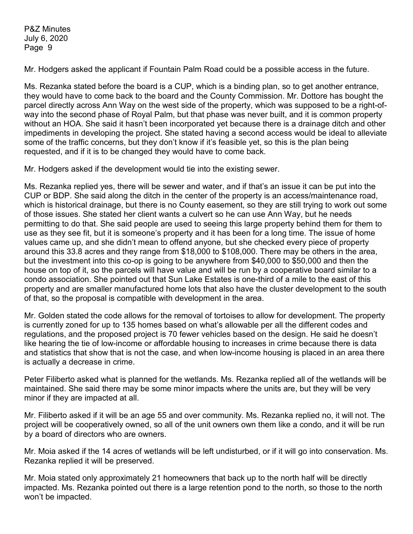Mr. Hodgers asked the applicant if Fountain Palm Road could be a possible access in the future.

Ms. Rezanka stated before the board is a CUP, which is a binding plan, so to get another entrance, they would have to come back to the board and the County Commission. Mr. Dottore has bought the parcel directly across Ann Way on the west side of the property, which was supposed to be a right-ofway into the second phase of Royal Palm, but that phase was never built, and it is common property without an HOA. She said it hasn't been incorporated yet because there is a drainage ditch and other impediments in developing the project. She stated having a second access would be ideal to alleviate some of the traffic concerns, but they don't know if it's feasible yet, so this is the plan being requested, and if it is to be changed they would have to come back.

Mr. Hodgers asked if the development would tie into the existing sewer.

Ms. Rezanka replied yes, there will be sewer and water, and if that's an issue it can be put into the CUP or BDP. She said along the ditch in the center of the property is an access/maintenance road, which is historical drainage, but there is no County easement, so they are still trying to work out some of those issues. She stated her client wants a culvert so he can use Ann Way, but he needs permitting to do that. She said people are used to seeing this large property behind them for them to use as they see fit, but it is someone's property and it has been for a long time. The issue of home values came up, and she didn't mean to offend anyone, but she checked every piece of property around this 33.8 acres and they range from \$18,000 to \$108,000. There may be others in the area, but the investment into this co-op is going to be anywhere from \$40,000 to \$50,000 and then the house on top of it, so the parcels will have value and will be run by a cooperative board similar to a condo association. She pointed out that Sun Lake Estates is one-third of a mile to the east of this property and are smaller manufactured home lots that also have the cluster development to the south of that, so the proposal is compatible with development in the area.

Mr. Golden stated the code allows for the removal of tortoises to allow for development. The property is currently zoned for up to 135 homes based on what's allowable per all the different codes and regulations, and the proposed project is 70 fewer vehicles based on the design. He said he doesn't like hearing the tie of low-income or affordable housing to increases in crime because there is data and statistics that show that is not the case, and when low-income housing is placed in an area there is actually a decrease in crime.

Peter Filiberto asked what is planned for the wetlands. Ms. Rezanka replied all of the wetlands will be maintained. She said there may be some minor impacts where the units are, but they will be very minor if they are impacted at all.

Mr. Filiberto asked if it will be an age 55 and over community. Ms. Rezanka replied no, it will not. The project will be cooperatively owned, so all of the unit owners own them like a condo, and it will be run by a board of directors who are owners.

Mr. Moia asked if the 14 acres of wetlands will be left undisturbed, or if it will go into conservation. Ms. Rezanka replied it will be preserved.

Mr. Moia stated only approximately 21 homeowners that back up to the north half will be directly impacted. Ms. Rezanka pointed out there is a large retention pond to the north, so those to the north won't be impacted.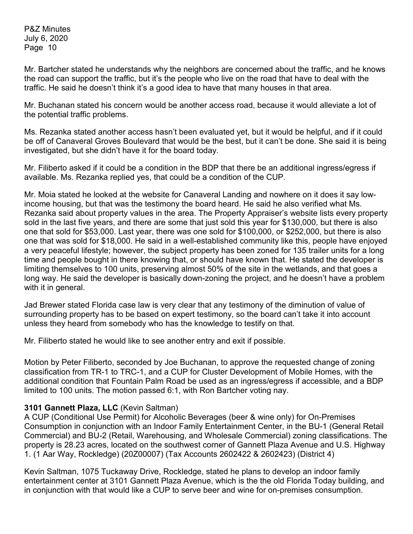Mr. Bartcher stated he understands why the neighbors are concerned about the traffic, and he knows the road can support the traffic, but it's the people who live on the road that have to deal with the traffic. He said he doesn't think it's a good idea to have that many houses in that area.

Mr. Buchanan stated his concern would be another access road, because it would alleviate a lot of the potential traffic problems.

Ms. Rezanka stated another access hasn't been evaluated yet, but it would be helpful, and if it could be off of Canaveral Groves Boulevard that would be the best, but it can't be done. She said it is being investigated, but she didn't have it for the board today.

Mr. Filiberto asked if it could be a condition in the BDP that there be an additional ingress/egress if available. Ms. Rezanka replied yes, that could be a condition of the CUP.

Mr. Moia stated he looked at the website for Canaveral Landing and nowhere on it does it say lowincome housing, but that was the testimony the board heard. He said he also verified what Ms. Rezanka said about property values in the area. The Property Appraiser's website lists every property sold in the last five years, and there are some that just sold this year for \$130,000, but there is also one that sold for \$53,000. Last year, there was one sold for \$100,000, or \$252,000, but there is also one that was sold for \$18,000. He said in a well-established community like this, people have enjoyed a very peaceful lifestyle; however, the subject property has been zoned for 135 trailer units for a long time and people bought in there knowing that, or should have known that. He stated the developer is limiting themselves to 100 units, preserving almost 50% of the site in the wetlands, and that goes a long way. He said the developer is basically down-zoning the project, and he doesn't have a problem with it in general.

Jad Brewer stated Florida case law is very clear that any testimony of the diminution of value of surrounding property has to be based on expert testimony, so the board can't take it into account unless they heard from somebody who has the knowledge to testify on that.

Mr. Filiberto stated he would like to see another entry and exit if possible.

Motion by Peter Filiberto, seconded by Joe Buchanan, to approve the requested change of zoning classification from TR-1 to TRC-1, and a CUP for Cluster Development of Mobile Homes, with the additional condition that Fountain Palm Road be used as an ingress/egress if accessible, and a BDP limited to 100 units. The motion passed 6:1, with Ron Bartcher voting nay.

## **3101 Gannett Plaza, LLC** (Kevin Saltman)

A CUP (Conditional Use Permit) for Alcoholic Beverages (beer & wine only) for On-Premises Consumption in conjunction with an Indoor Family Entertainment Center, in the BU-1 (General Retail Commercial) and BU-2 (Retail, Warehousing, and Wholesale Commercial) zoning classifications. The property is 28.23 acres, located on the southwest corner of Gannett Plaza Avenue and U.S. Highway 1. (1 Aar Way, Rockledge) (20Z00007) (Tax Accounts 2602422 & 2602423) (District 4)

Kevin Saltman, 1075 Tuckaway Drive, Rockledge, stated he plans to develop an indoor family entertainment center at 3101 Gannett Plaza Avenue, which is the the old Florida Today building, and in conjunction with that would like a CUP to serve beer and wine for on-premises consumption.